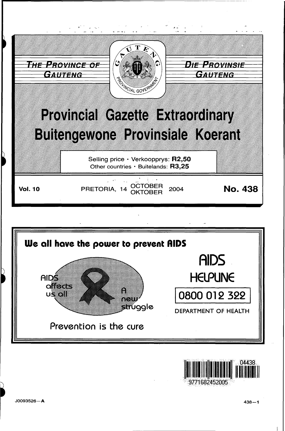





J0093526-A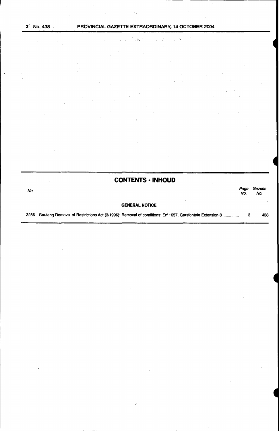2 No. 438

## PROVINCIAL GAZETTE EXTRAORDINARY, 14 OCTOBER 2004

٠,

 $\langle \mathrm{Feff}$ 

**Special** Service

# **CONTENTS · INHOUD**

| No.  |                                                                                                        | Page<br>No. | Gazette<br>No. |
|------|--------------------------------------------------------------------------------------------------------|-------------|----------------|
|      | <b>GENERAL NOTICE</b>                                                                                  |             |                |
| 3286 | Gauteng Removal of Restrictions Act (3/1996): Removal of conditions: Erf 1657, Garsfontein Extension 8 |             | 438            |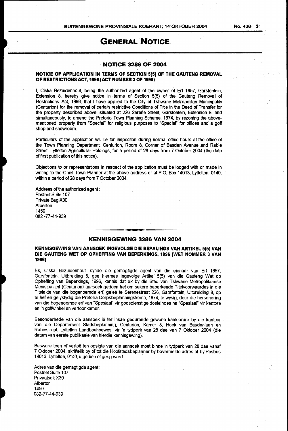# GENERAL NOTICE

#### NOTICE 3286 OF 2004

### NOTICE OF APPLICATION IN TERMS OF SECTION 5(5) OF THE GAUTENG REMOVAL OF RESTRICTIONS ACT, 1996 (ACT NUMBER 3 OF 1996)

I, Ciska Bezuidenhout being the authorized agent of the owner of Erf 1657, Garsfontein, Extension 8, hereby give notice in terms of Section 5(5) of the Gauteng Removal of Restrictions Act 1996, that I have applied to the City of Tshwane Metropolitan Municipality (Centurion) for the removal of certain restrictive Conditions of Title in the Deed of Transfer for the property described above, situated at 226 Serene Street, Garsfontein, Extension 8, and simultaneously, to amend the Pretoria Town Planning Scheme, 1974, by rezoning the abovementioned property from "Special" for religious purposes to "Special" for offices and a golf shop and showroom.

Particulars of the application will lie for inspection during normal office hours at the office of the Town Planning Department, Centurion, Room 8, Corner of Basden Avenue and Rabie Street, Lyttelton Agricultural Holdings, for a period of 28 days from 7 October 2004 (the date of first publication of this notice).

Objections to or representations in respect of the application must be lodged with or made in writing to the Chief Town Planner at the above address or at P.O. Box 14013, Lyttelton, 0140, within a period of 28 days from 7 October 2004.

Address of the authorized agent: Postnet Suite 107 Private Bag X30 Alberton 1450 082 -77-44-939

### .KENNISGEWING 3286 VAN 2004

#### KENNISGEWING VAN AANSOEK INGEVOLGE DIE BEPALINGS VAN ARTIKEL 5(5) VAN DIE GAUTENG WET OP OPHEFFING VAN BEPERKINGS, 1996 (WET NOMMER 3 VAN 1996)

Ek, Ciska Bezuidenhout synde die gemagtigde agent van die eienaar van Erf 1657, Garsfontein, Uitbreiding 8, gee hiermee ingevolge Artikel 5(5) van die Gauteng Wet op Opheffing van Beperkings, 1996, kennis dat ek by die Stad van Tshwane Metropolitaanse Munisipaliteit (Centurion) aansoek gedoen het om sekere beperkende Titelvoorwaardes in die Titelakte van die bogenoemde erf, geleë te Serenestraat 226, Garsfontein, Uitbreiding 8, op te hef en gelyktydig die Pretoria Dorpsbeplanningskema, 1974, te wysig, deur die hersonering van die bogenoemde erfvan "Spesiaal" vir godsdienstige doeleindes na "Spesiaal" vir kantore en 'n golfwinkel en vertoonkamer.

Besonderhede van die aansoek lê ter insae gedurende gewone kantoorure by die kantoor van die Departement Stadsbeplanning, Centurion, Kamer 8, Hoek van Basdenlaan en Rabiestraat, Lyttelton Landbouhoewes, vir 'n tydperk van 28 dae van 7 Oktober 2004 (die datum van eerste publikasie van hierdie kennisgewing).

Besware teen of vertoë ten opsigte van die aansoek moet binne 'n tydperk van 28 dae vanaf 7 Oktober 2004, skriftelik by of tot die Hoofstadsbeplanner by bovermelde adres of by Posbus 14013, Lyttelton, 0140, ingedien of gerig word.

Adres van die gemagtigde agent : Postnet Suite 107 Privaatsak X30 Alberton 1450 082-77-44-939